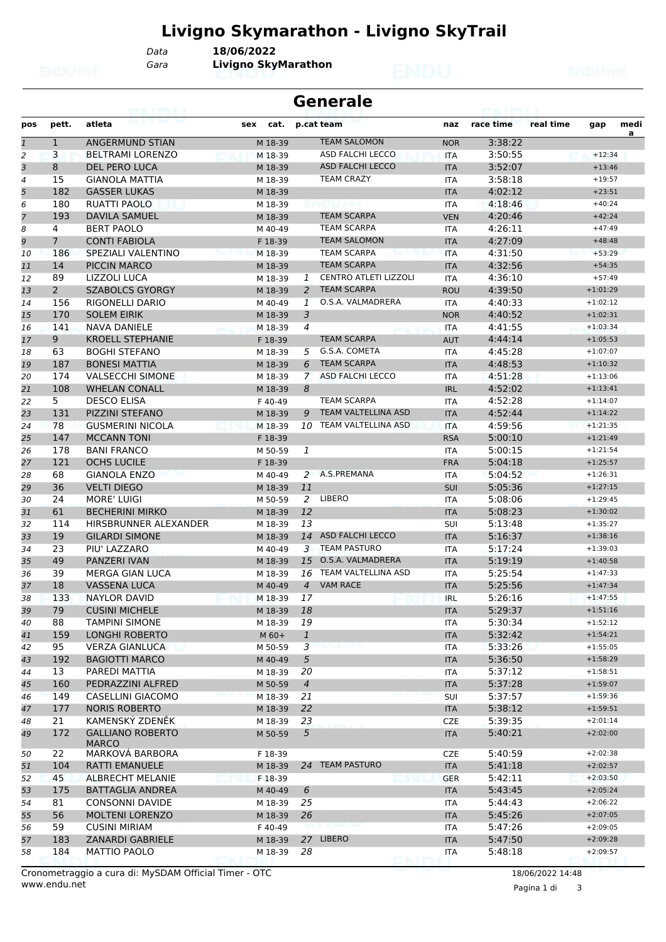# **Livigno Skymarathon - Livigno SkyTrail**

*Gara* **Livigno SkyMarathon** *Data* **18/06/2022**

|                | <b>Generale</b> |                         |             |                |                              |            |           |           |            |           |
|----------------|-----------------|-------------------------|-------------|----------------|------------------------------|------------|-----------|-----------|------------|-----------|
| pos            | pett.           | atleta                  | cat.<br>sex |                | p.cat team                   | naz        | race time | real time | gap        | medi<br>a |
| $\mathbf{1}$   | $\mathbf{1}$    | ANGERMUND STIAN         | M 18-39     |                | <b>TEAM SALOMON</b>          | <b>NOR</b> | 3:38:22   |           |            |           |
| 2              | 3               | <b>BELTRAMI LORENZO</b> | M 18-39     |                | <b>ASD FALCHI LECCO</b>      | ITA        | 3:50:55   |           | $+12:34$   |           |
| 3              | 8               | <b>DEL PERO LUCA</b>    | M 18-39     |                | <b>ASD FALCHI LECCO</b>      | <b>ITA</b> | 3:52:07   |           | $+13:46$   |           |
| $\overline{a}$ | 15              | <b>GIANOLA MATTIA</b>   | M 18-39     |                | <b>TEAM CRAZY</b>            | <b>ITA</b> | 3:58:18   |           | $+19:57$   |           |
| 5              | 182             | <b>GASSER LUKAS</b>     | M 18-39     |                |                              | <b>ITA</b> | 4:02:12   |           | $+23:51$   |           |
| 6              | 180             | <b>RUATTI PAOLO</b>     | M 18-39     |                |                              | <b>ITA</b> | 4:18:46   |           | $+40:24$   |           |
| $\overline{7}$ | 193             | <b>DAVILA SAMUEL</b>    | M 18-39     |                | <b>TEAM SCARPA</b>           | <b>VEN</b> | 4:20:46   |           | $+42:24$   |           |
| 8              | 4               | <b>BERT PAOLO</b>       | M 40-49     |                | <b>TEAM SCARPA</b>           | <b>ITA</b> | 4:26:11   |           | $+47:49$   |           |
| 9              | $\overline{7}$  | <b>CONTI FABIOLA</b>    | F 18-39     |                | <b>TEAM SALOMON</b>          | <b>ITA</b> | 4:27:09   |           | $+48:48$   |           |
| 10             | 186             | SPEZIALI VALENTINO      | M 18-39     |                | <b>TEAM SCARPA</b>           | <b>ITA</b> | 4:31:50   |           | $+53:29$   |           |
| 11             | 14              | PICCIN MARCO            | M 18-39     |                | <b>TEAM SCARPA</b>           | <b>ITA</b> | 4:32:56   |           | $+54:35$   |           |
| 12             | 89              | LIZZOLI LUCA            | M 18-39     | 1              | <b>CENTRO ATLETI LIZZOLI</b> | <b>ITA</b> | 4:36:10   |           | $+57:49$   |           |
| 13             | $\overline{2}$  | <b>SZABOLCS GYORGY</b>  | M 18-39     | 2              | <b>TEAM SCARPA</b>           | <b>ROU</b> | 4:39:50   |           | $+1:01:29$ |           |
| 14             | 156             | RIGONELLI DARIO         | M 40-49     | 1              | O.S.A. VALMADRERA            | <b>ITA</b> | 4:40:33   |           | $+1:02:12$ |           |
| 15             | 170             | <b>SOLEM EIRIK</b>      | M 18-39     | 3              |                              | <b>NOR</b> | 4:40:52   |           | $+1:02:31$ |           |
| 16             | 141             | <b>NAVA DANIELE</b>     | M 18-39     | 4              |                              | <b>ITA</b> | 4:41:55   |           | $+1:03:34$ |           |
| 17             | 9 <sup>°</sup>  | <b>KROELL STEPHANIE</b> | F 18-39     |                | <b>TEAM SCARPA</b>           | <b>AUT</b> | 4:44:14   |           | $+1:05:53$ |           |
| 18             | 63              | <b>BOGHI STEFANO</b>    | M 18-39     | 5              | G.S.A. COMETA                | <b>ITA</b> | 4:45:28   |           | $+1:07:07$ |           |
| 19             | 187             | <b>BONESI MATTIA</b>    | M 18-39     | 6              | <b>TEAM SCARPA</b>           | <b>ITA</b> | 4:48:53   |           | $+1:10:32$ |           |
| 20             | 174             | <b>VALSECCHI SIMONE</b> | M 18-39     | $\mathcal{I}$  | ASD FALCHI LECCO             | <b>ITA</b> | 4:51:28   |           | $+1:13:06$ |           |
| 21             | 108             | <b>WHELAN CONALL</b>    | M 18-39     | 8              |                              | <b>IRL</b> | 4:52:02   |           | $+1:13:41$ |           |
| 22             | 5               | <b>DESCO ELISA</b>      | F 40-49     |                | <b>TEAM SCARPA</b>           | ITA        | 4:52:28   |           | $+1:14:07$ |           |
| 23             | 131             | <b>PIZZINI STEFANO</b>  | M 18-39     | 9              | <b>TEAM VALTELLINA ASD</b>   | <b>ITA</b> | 4:52:44   |           | $+1:14:22$ |           |
| 24             | 78              | <b>GUSMERINI NICOLA</b> | M 18-39     | 10             | TEAM VALTELLINA ASD          | <b>ITA</b> | 4:59:56   |           | $+1:21:35$ |           |
| 25             | 147             | <b>MCCANN TONI</b>      | F 18-39     |                |                              | <b>RSA</b> | 5:00:10   |           | $+1:21:49$ |           |
| 26             | 178             | <b>BANI FRANCO</b>      | M 50-59     | 1              |                              | <b>ITA</b> | 5:00:15   |           | $+1:21:54$ |           |
| 27             | 121             | <b>OCHS LUCILE</b>      | F 18-39     |                |                              | <b>FRA</b> | 5:04:18   |           | $+1:25:57$ |           |
| 28             | 68              | <b>GIANOLA ENZO</b>     | M 40-49     |                | 2 A.S.PREMANA                | ITA        | 5:04:52   |           | $+1:26:31$ |           |
| 29             | 36              | <b>VELTI DIEGO</b>      | M 18-39     | 11             |                              | SUI        | 5:05:36   |           | $+1:27:15$ |           |
| 30             | 24              | <b>MORE' LUIGI</b>      | M 50-59     | 2              | LIBERO                       | <b>ITA</b> | 5:08:06   |           | $+1:29:45$ |           |
| 31             | 61              | <b>BECHERINI MIRKO</b>  | M 18-39     | 12             |                              | <b>ITA</b> | 5:08:23   |           | $+1:30:02$ |           |
| 32             | 114             | HIRSBRUNNER ALEXANDER   | M 18-39     | 13             |                              | <b>SUI</b> | 5:13:48   |           | $+1:35:27$ |           |
| 33             | 19              | <b>GILARDI SIMONE</b>   | M 18-39     | 14             | <b>ASD FALCHI LECCO</b>      | <b>ITA</b> | 5:16:37   |           | $+1:38:16$ |           |
| 34             | 23              | PIU' LAZZARO            | M 40-49     | 3              | <b>TEAM PASTURO</b>          | ITA        | 5:17:24   |           | $+1:39:03$ |           |
| 35             | 49              | PANZERI IVAN            | M 18-39     | 15             | O.S.A. VALMADRERA            | <b>ITA</b> | 5:19:19   |           | $+1:40:58$ |           |
| 36             | 39              | MERGA GIAN LUCA         | M 18-39     | 16             | TEAM VALTELLINA ASD          | <b>ITA</b> | 5:25:54   |           | $+1:47:33$ |           |
| 37             | 18              | VASSENA LUCA            | M 40-49     | $\overline{4}$ | <b>VAM RACE</b>              | <b>ITA</b> | 5:25:56   |           | $+1:47:34$ |           |
| 38             | 133             | <b>NAYLOR DAVID</b>     | M 18-39     | 17             |                              | <b>IRL</b> | 5:26:16   |           | $+1:47:55$ |           |
| 39             | 79              | <b>CUSINI MICHELE</b>   | M 18-39     | 18             |                              | <b>ITA</b> | 5:29:37   |           | $+1:51:16$ |           |
| 40             | 88              | <b>TAMPINI SIMONE</b>   | M 18-39     | 19             |                              | ITA        | 5:30:34   |           | $+1:52:12$ |           |
| 41             | 159             | <b>LONGHI ROBERTO</b>   | $M_60+$     | $\mathbf{1}$   |                              | <b>ITA</b> | 5:32:42   |           | $+1:54:21$ |           |
| 42             | 95              | <b>VERZA GIANLUCA</b>   | M 50-59     | 3              |                              | ITA        | 5:33:26   |           | $+1:55:05$ |           |
| 43             | 192             | <b>BAGIOTTI MARCO</b>   | M 40-49     | 5              |                              | <b>ITA</b> | 5:36:50   |           | $+1:58:29$ |           |
| 44             | 13              | PAREDI MATTIA           | M 18-39     | 20             |                              | ITA        | 5:37:12   |           | $+1:58:51$ |           |
| 45             | 160             | PEDRAZZINI ALFRED       | M 50-59     | $\overline{4}$ |                              | <b>ITA</b> | 5:37:28   |           | $+1:59:07$ |           |
| 46             | 149             | CASELLINI GIACOMO       | M 18-39     | 21             |                              | SUI        | 5:37:57   |           | $+1:59:36$ |           |
| 47             | 177             | <b>NORIS ROBERTO</b>    | M 18-39     | 22             |                              | <b>ITA</b> | 5:38:12   |           | $+1:59:51$ |           |
| 48             | 21              | KAMENSKÝ ZDENĚK         | M 18-39     | 23             |                              | <b>CZE</b> | 5:39:35   |           | $+2:01:14$ |           |
| 49             | 172             | <b>GALLIANO ROBERTO</b> | M 50-59     | 5              |                              | <b>ITA</b> | 5:40:21   |           | $+2:02:00$ |           |
|                |                 | <b>MARCO</b>            |             |                |                              |            |           |           |            |           |
| 50             | 22              | MARKOVÁ BARBORA         | F 18-39     |                |                              | <b>CZE</b> | 5:40:59   |           | $+2:02:38$ |           |
| 51             | 104             | RATTI EMANUELE          | M 18-39     |                | 24 TEAM PASTURO              | <b>ITA</b> | 5:41:18   |           | $+2:02:57$ |           |
| 52             | 45              | ALBRECHT MELANIE        | F 18-39     |                |                              | <b>GER</b> | 5:42:11   |           | $+2:03:50$ |           |
| 53             | 175             | <b>BATTAGLIA ANDREA</b> | M 40-49     | 6              |                              | <b>ITA</b> | 5:43:45   |           | $+2:05:24$ |           |
| 54             | 81              | <b>CONSONNI DAVIDE</b>  | M 18-39     | 25             |                              | ITA        | 5:44:43   |           | $+2:06:22$ |           |
| 55             | 56              | <b>MOLTENI LORENZO</b>  | M 18-39     | 26             |                              | <b>ITA</b> | 5:45:26   |           | $+2:07:05$ |           |
| 56             | 59              | <b>CUSINI MIRIAM</b>    | F 40-49     |                |                              | ITA        | 5:47:26   |           | $+2:09:05$ |           |
| 57             | 183             | <b>ZANARDI GABRIELE</b> | M 18-39     |                | 27 LIBERO                    | <b>ITA</b> | 5:47:50   |           | $+2:09:28$ |           |
| 58             | 184             | <b>MATTIO PAOLO</b>     | M 18-39     | 28             |                              | ITA        | 5:48:18   |           | $+2:09:57$ |           |

www.endu.net Cronometraggio a cura di: MySDAM Official Timer - OTC 18/06/2022 14:48

Pagina 1 di 3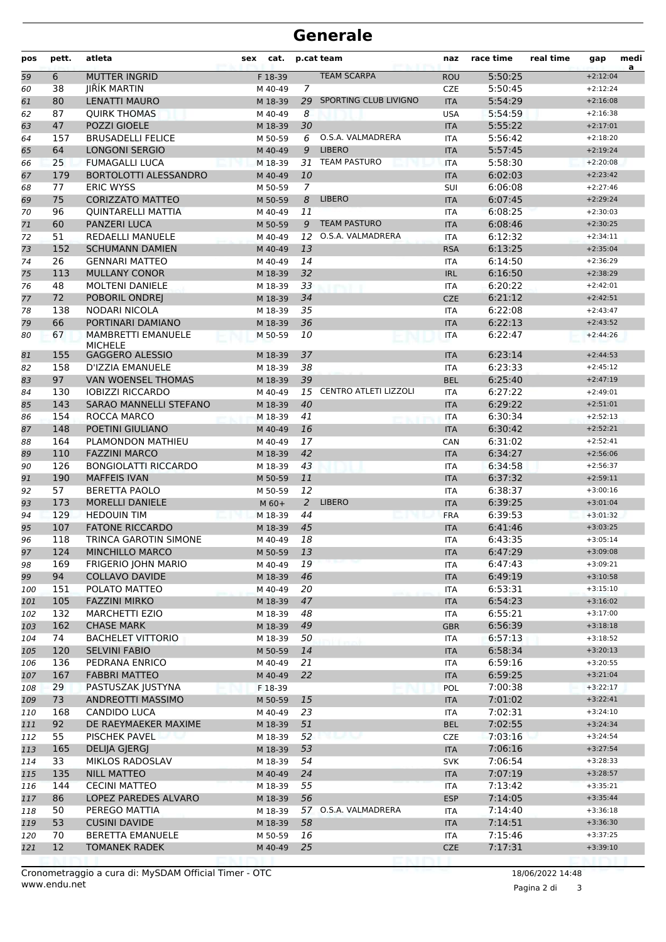| pos | pett. | atleta                                      | sex<br>cat. |                | p.cat team                   | naz        | race time | real time | gap        | medi<br>a |
|-----|-------|---------------------------------------------|-------------|----------------|------------------------------|------------|-----------|-----------|------------|-----------|
| 59  | 6     | <b>MUTTER INGRID</b>                        | F 18-39     |                | <b>TEAM SCARPA</b>           | <b>ROU</b> | 5:50:25   |           | $+2:12:04$ |           |
| 60  | 38    | JIŘÍK MARTIN                                | M 40-49     | $\overline{7}$ |                              | <b>CZE</b> | 5:50:45   |           | $+2:12:24$ |           |
| 61  | 80    | <b>LENATTI MAURO</b>                        | M 18-39     | 29             | SPORTING CLUB LIVIGNO        | <b>ITA</b> | 5:54:29   |           | $+2:16:08$ |           |
| 62  | 87    | <b>QUIRK THOMAS</b>                         | M 40-49     | 8              |                              | <b>USA</b> | 5:54:59   |           | $+2:16:38$ |           |
| 63  | 47    | POZZI GIOELE                                | M 18-39     | 30             |                              | <b>ITA</b> | 5:55:22   |           | $+2:17:01$ |           |
| 64  | 157   | <b>BRUSADELLI FELICE</b>                    | M 50-59     | 6              | O.S.A. VALMADRERA            | <b>ITA</b> | 5:56:42   |           | $+2:18:20$ |           |
| 65  | 64    | <b>LONGONI SERGIO</b>                       | M 40-49     | 9              | <b>LIBERO</b>                | <b>ITA</b> | 5:57:45   |           | $+2:19:24$ |           |
| 66  | 25    | <b>FUMAGALLI LUCA</b>                       | M 18-39     | 31             | <b>TEAM PASTURO</b>          | <b>ITA</b> | 5:58:30   |           | $+2:20:08$ |           |
| 67  | 179   | <b>BORTOLOTTI ALESSANDRO</b>                | M 40-49     | 10             |                              | <b>ITA</b> | 6:02:03   |           | $+2:23:42$ |           |
| 68  | 77    | <b>ERIC WYSS</b>                            | M 50-59     | $\overline{7}$ |                              | SUI        | 6:06:08   |           | $+2:27:46$ |           |
| 69  | 75    | <b>CORIZZATO MATTEO</b>                     | M 50-59     | 8              | <b>LIBERO</b>                | <b>ITA</b> | 6:07:45   |           | $+2:29:24$ |           |
| 70  | 96    | <b>QUINTARELLI MATTIA</b>                   | M 40-49     | 11             |                              | <b>ITA</b> | 6:08:25   |           | $+2:30:03$ |           |
| 71  | 60    | <b>PANZERI LUCA</b>                         | M 50-59     | 9              | <b>TEAM PASTURO</b>          | <b>ITA</b> | 6:08:46   |           | $+2:30:25$ |           |
| 72  | 51    | <b>REDAELLI MANUELE</b>                     | M 40-49     | 12             | O.S.A. VALMADRERA            | <b>ITA</b> | 6:12:32   |           | $+2:34:11$ |           |
| 73  | 152   | <b>SCHUMANN DAMIEN</b>                      | M 40-49     | 13             |                              | <b>RSA</b> | 6:13:25   |           | $+2:35:04$ |           |
| 74  | 26    | <b>GENNARI MATTEO</b>                       | M 40-49     | 14             |                              | <b>ITA</b> | 6:14:50   |           | $+2:36:29$ |           |
| 75  | 113   | <b>MULLANY CONOR</b>                        | M 18-39     | 32             |                              | <b>IRL</b> | 6:16:50   |           | $+2:38:29$ |           |
| 76  | 48    | <b>MOLTENI DANIELE</b>                      | M 18-39     | 33             |                              | <b>ITA</b> | 6:20:22   |           | $+2:42:01$ |           |
| 77  | 72    | POBORIL ONDREJ                              | M 18-39     | 34             |                              | <b>CZE</b> | 6:21:12   |           | $+2:42:51$ |           |
| 78  | 138   | <b>NODARI NICOLA</b>                        | M 18-39     | 35             |                              | <b>ITA</b> | 6:22:08   |           | $+2:43:47$ |           |
| 79  | 66    | PORTINARI DAMIANO                           | M 18-39     | 36             |                              | <b>ITA</b> | 6:22:13   |           | $+2:43:52$ |           |
| 80  | 67    | <b>MAMBRETTI EMANUELE</b><br><b>MICHELE</b> | M 50-59     | 10             |                              | <b>ITA</b> | 6:22:47   |           | $+2:44:26$ |           |
| 81  | 155   | <b>GAGGERO ALESSIO</b>                      | M 18-39     | 37             |                              | <b>ITA</b> | 6:23:14   |           | $+2:44:53$ |           |
| 82  | 158   | D'IZZIA EMANUELE                            | M 18-39     | 38             |                              | <b>ITA</b> | 6:23:33   |           | $+2:45:12$ |           |
| 83  | 97    | <b>VAN WOENSEL THOMAS</b>                   | M 18-39     | 39             |                              | <b>BEL</b> | 6:25:40   |           | $+2:47:19$ |           |
| 84  | 130   | <b>IOBIZZI RICCARDO</b>                     | M 40-49     | 15             | <b>CENTRO ATLETI LIZZOLI</b> | <b>ITA</b> | 6:27:22   |           | $+2:49:01$ |           |
| 85  | 143   | <b>SARAO MANNELLI STEFANO</b>               | M 18-39     | 40             |                              | <b>ITA</b> | 6:29:22   |           | $+2:51:01$ |           |
| 86  | 154   | ROCCA MARCO                                 | M 18-39     | 41             |                              | <b>ITA</b> | 6:30:34   |           | $+2:52:13$ |           |
| 87  | 148   | POETINI GIULIANO                            | M 40-49     | 16             |                              | <b>ITA</b> | 6:30:42   |           | $+2:52:21$ |           |
| 88  | 164   | PLAMONDON MATHIEU                           | M 40-49     | 17             |                              | CAN        | 6:31:02   |           | $+2:52:41$ |           |
| 89  | 110   | <b>FAZZINI MARCO</b>                        | M 18-39     | 42             |                              | <b>ITA</b> | 6:34:27   |           | $+2:56:06$ |           |
| 90  | 126   | <b>BONGIOLATTI RICCARDO</b>                 | M 18-39     | 43             |                              | <b>ITA</b> | 6:34:58   |           | $+2:56:37$ |           |
| 91  | 190   | <b>MAFFEIS IVAN</b>                         | M 50-59     | 11             |                              | <b>ITA</b> | 6:37:32   |           | $+2:59:11$ |           |
| 92  | 57    | <b>BERETTA PAOLO</b>                        | M 50-59     | 12             |                              | <b>ITA</b> | 6:38:37   |           | $+3:00:16$ |           |
| 93  | 173   | <b>MORELLI DANIELE</b>                      | $M$ 60+     | $\overline{2}$ | <b>LIBERO</b>                | <b>ITA</b> | 6:39:25   |           | $+3:01:04$ |           |
| 94  | 129   | <b>HEDOUIN TIM</b>                          | M 18-39     | 44             |                              | <b>FRA</b> | 6:39:53   |           | $+3:01:32$ |           |
| 95  | 107   | <b>FATONE RICCARDO</b>                      | M 18-39     | 45             |                              | <b>ITA</b> | 6:41:46   |           | $+3:03:25$ |           |
| 96  | 118   | TRINCA GAROTIN SIMONE                       | M 40-49     | 18             |                              | <b>ITA</b> | 6:43:35   |           | $+3:05:14$ |           |
| 97  | 124   | MINCHILLO MARCO                             | M 50-59     | 13             |                              | <b>IIA</b> | 6:47:29   |           | $+3:09:08$ |           |
| 98  | 169   | FRIGERIO JOHN MARIO                         | M 40-49     | 19             |                              | ITA        | 6:47:43   |           | $+3:09:21$ |           |
| 99  | 94    | <b>COLLAVO DAVIDE</b>                       | M 18-39     | 46             |                              | <b>ITA</b> | 6:49:19   |           | $+3:10:58$ |           |
| 100 | 151   | POLATO MATTEO                               | M 40-49     | 20             |                              | ITA        | 6:53:31   |           | $+3:15:10$ |           |
| 101 | 105   | <b>FAZZINI MIRKO</b>                        | M 18-39     | 47             |                              | <b>ITA</b> | 6:54:23   |           | $+3:16:02$ |           |
| 102 | 132   | <b>MARCHETTI EZIO</b>                       | M 18-39     | 48             |                              | ITA        | 6:55:21   |           | $+3:17:00$ |           |
| 103 | 162   | <b>CHASE MARK</b>                           | M 18-39     | 49             |                              | <b>GBR</b> | 6:56:39   |           | $+3:18:18$ |           |
| 104 | 74    | <b>BACHELET VITTORIO</b>                    | M 18-39     | 50             |                              | <b>ITA</b> | 6:57:13   |           | $+3:18:52$ |           |
| 105 | 120   | <b>SELVINI FABIO</b>                        | M 50-59     | 14             |                              | <b>ITA</b> | 6:58:34   |           | $+3:20:13$ |           |
| 106 | 136   | PEDRANA ENRICO                              | M 40-49     | 21             |                              | ITA        | 6:59:16   |           | $+3:20:55$ |           |
| 107 | 167   | <b>FABBRI MATTEO</b>                        | M 40-49     | 22             |                              | <b>ITA</b> | 6:59:25   |           | $+3:21:04$ |           |
| 108 | 29    | PASTUSZAK JUSTYNA                           | F 18-39     |                |                              | <b>POL</b> | 7:00:38   |           | $+3:22:17$ |           |
| 109 | 73    | ANDREOTTI MASSIMO                           | M 50-59     | 15             |                              | <b>ITA</b> | 7:01:02   |           | $+3:22:41$ |           |
| 110 | 168   | CANDIDO LUCA                                | M 40-49     | 23             |                              | <b>ITA</b> | 7:02:31   |           | $+3:24:10$ |           |
| 111 | 92    | DE RAEYMAEKER MAXIME                        | M 18-39     | 51             |                              | <b>BEL</b> | 7:02:55   |           | $+3:24:34$ |           |
| 112 | 55    | <b>PISCHEK PAVEL</b>                        | M 18-39     | 52             |                              | <b>CZE</b> | 7:03:16   |           | $+3:24:54$ |           |
| 113 | 165   | <b>DELIJA GJERGJ</b>                        | M 18-39     | 53             |                              | <b>ITA</b> | 7:06:16   |           | $+3:27:54$ |           |
| 114 | 33    | MIKLOS RADOSLAV                             | M 18-39     | 54             |                              | <b>SVK</b> | 7:06:54   |           | $+3:28:33$ |           |
| 115 | 135   | <b>NILL MATTEO</b>                          | M 40-49     | 24             |                              | <b>ITA</b> | 7:07:19   |           | $+3:28:57$ |           |
| 116 | 144   | <b>CECINI MATTEO</b>                        | M 18-39     | 55             |                              | <b>ITA</b> | 7:13:42   |           | $+3:35:21$ |           |
| 117 | 86    | LOPEZ PAREDES ALVARO                        | M 18-39     | 56             |                              | <b>ESP</b> | 7:14:05   |           | $+3:35:44$ |           |
| 118 | 50    | PEREGO MATTIA                               | M 18-39     |                | 57 O.S.A. VALMADRERA         | <b>ITA</b> | 7:14:40   |           | $+3:36:18$ |           |
| 119 | 53    | <b>CUSINI DAVIDE</b>                        | M 18-39     | 58             |                              | <b>ITA</b> | 7:14:51   |           | $+3:36:30$ |           |
| 120 | 70    | <b>BERETTA EMANUELE</b>                     | M 50-59     | 16             |                              | <b>ITA</b> | 7:15:46   |           | $+3:37:25$ |           |
| 121 | 12    | <b>TOMANEK RADEK</b>                        | M 40-49     | 25             |                              | <b>CZE</b> | 7:17:31   |           | $+3:39:10$ |           |
|     |       |                                             |             |                |                              |            |           |           |            |           |

Pagina 2 di 3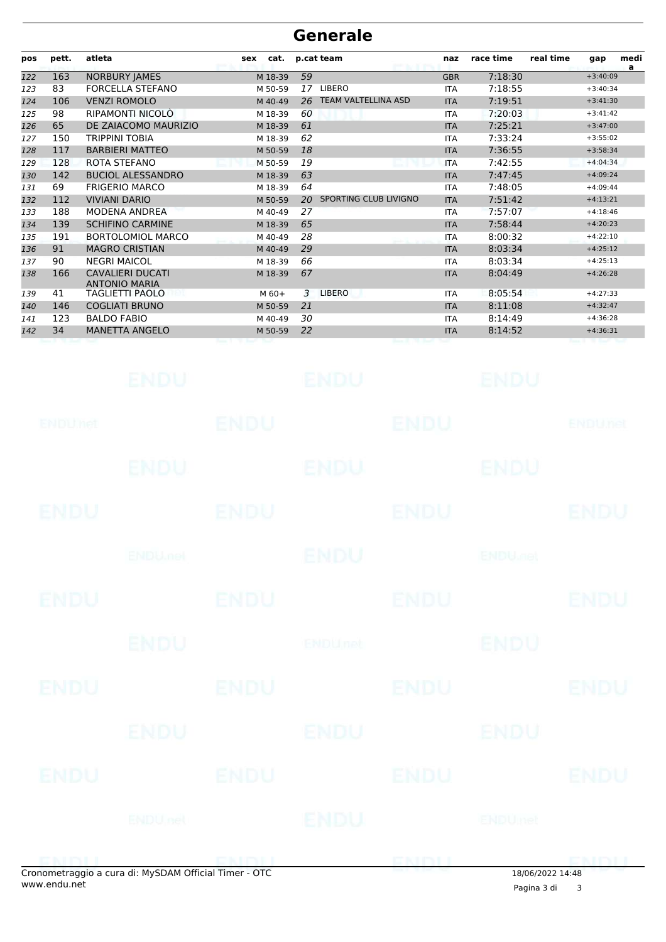| pos | pett. | atleta                                          | cat.<br>sex |    | p.cat team            | naz        | race time | real time | gap        | medi<br>a |
|-----|-------|-------------------------------------------------|-------------|----|-----------------------|------------|-----------|-----------|------------|-----------|
| 122 | 163   | <b>NORBURY JAMES</b>                            | M 18-39     | 59 |                       | <b>GBR</b> | 7:18:30   |           | $+3:40:09$ |           |
| 123 | 83    | <b>FORCELLA STEFANO</b>                         | M 50-59     | 17 | <b>LIBERO</b>         | <b>ITA</b> | 7:18:55   |           | $+3:40:34$ |           |
| 124 | 106   | <b>VENZI ROMOLO</b>                             | M 40-49     | 26 | TEAM VALTELLINA ASD   | <b>ITA</b> | 7:19:51   |           | $+3:41:30$ |           |
| 125 | 98    | RIPAMONTI NICOLÒ                                | M 18-39     | 60 |                       | <b>ITA</b> | 7:20:03   |           | $+3:41:42$ |           |
| 126 | 65    | DE ZAIACOMO MAURIZIO                            | M 18-39     | 61 |                       | <b>ITA</b> | 7:25:21   |           | $+3:47:00$ |           |
| 127 | 150   | <b>TRIPPINI TOBIA</b>                           | M 18-39     | 62 |                       | <b>ITA</b> | 7:33:24   |           | $+3:55:02$ |           |
| 128 | 117   | <b>BARBIERI MATTEO</b>                          | M 50-59     | 18 |                       | <b>ITA</b> | 7:36:55   |           | $+3:58:34$ |           |
| 129 | 128   | ROTA STEFANO                                    | M 50-59     | 19 |                       | <b>ITA</b> | 7:42:55   |           | $+4:04:34$ |           |
| 130 | 142   | <b>BUCIOL ALESSANDRO</b>                        | M 18-39     | 63 |                       | <b>ITA</b> | 7:47:45   |           | $+4:09:24$ |           |
| 131 | 69    | <b>FRIGERIO MARCO</b>                           | M 18-39     | 64 |                       | <b>ITA</b> | 7:48:05   |           | $+4:09:44$ |           |
| 132 | 112   | <b>VIVIANI DARIO</b>                            | M 50-59     | 20 | SPORTING CLUB LIVIGNO | <b>ITA</b> | 7:51:42   |           | $+4:13:21$ |           |
| 133 | 188   | <b>MODENA ANDREA</b>                            | M 40-49     | 27 |                       | <b>ITA</b> | 7:57:07   |           | $+4:18:46$ |           |
| 134 | 139   | <b>SCHIFINO CARMINE</b>                         | M 18-39     | 65 |                       | <b>ITA</b> | 7:58:44   |           | $+4:20:23$ |           |
| 135 | 191   | <b>BORTOLOMIOL MARCO</b>                        | M 40-49     | 28 |                       | <b>ITA</b> | 8:00:32   |           | $+4:22:10$ |           |
| 136 | 91    | <b>MAGRO CRISTIAN</b>                           | M 40-49     | 29 |                       | <b>ITA</b> | 8:03:34   |           | $+4:25:12$ |           |
| 137 | 90    | <b>NEGRI MAICOL</b>                             | M 18-39     | 66 |                       | <b>ITA</b> | 8:03:34   |           | $+4:25:13$ |           |
| 138 | 166   | <b>CAVALIERI DUCATI</b><br><b>ANTONIO MARIA</b> | M 18-39     | 67 |                       | <b>ITA</b> | 8:04:49   |           | $+4:26:28$ |           |
| 139 | 41    | <b>TAGLIETTI PAOLO</b>                          | $M$ 60+     | 3  | <b>LIBERO</b>         | <b>ITA</b> | 8:05:54   |           | $+4:27:33$ |           |
| 140 | 146   | <b>COGLIATI BRUNO</b>                           | M 50-59     | 21 |                       | <b>ITA</b> | 8:11:08   |           | $+4:32:47$ |           |
| 141 | 123   | <b>BALDO FABIO</b>                              | M 40-49     | 30 |                       | <b>ITA</b> | 8:14:49   |           | $+4:36:28$ |           |
| 142 | 34    | <b>MANETTA ANGELO</b>                           | M 50-59     | 22 |                       | <b>ITA</b> | 8:14:52   |           | $+4:36:31$ |           |
|     |       |                                                 |             |    |                       |            |           |           |            |           |

|             | <b>ENDU</b>                                         |             | ENDU         |             | <b>ENDU</b>               |                |
|-------------|-----------------------------------------------------|-------------|--------------|-------------|---------------------------|----------------|
| ENDUMEN     |                                                     | <b>ENDU</b> |              | ENDU        |                           | <b>ENDUnet</b> |
|             | <b>ENDU</b>                                         |             | <b>ENDU.</b> |             | <b>ENDU</b>               |                |
| <b>ENDU</b> |                                                     | <b>ENDU</b> |              | <b>ENDU</b> |                           | <b>ENDU</b>    |
|             | <b>ENDUMEN</b>                                      |             | <b>ENDU</b>  |             | <b>ENDU<sub>DEL</sub></b> |                |
| <b>ENDU</b> |                                                     | <b>ENDU</b> |              | <b>ENDU</b> |                           | <b>ENDU</b>    |
|             | <b>ENDU</b>                                         |             | ENDUnct      |             | <b>ENDU</b>               |                |
| ENDU        |                                                     | <b>ENDU</b> |              | <b>ENDU</b> |                           | <b>ENDU</b>    |
|             | ENDU                                                |             | ENDU         |             | ENDU                      |                |
| ENDU        |                                                     | <b>ENDU</b> |              | <b>ENDU</b> |                           | <b>ENDU</b>    |
|             | ENDUnet                                             |             | <b>IENDU</b> |             | ENDUmet                   |                |
|             | onometraggio a cura di: MySDAM Official Timer - OTC |             |              | ENDU        | 18/06/2022 14:48          | <b>EMDU</b>    |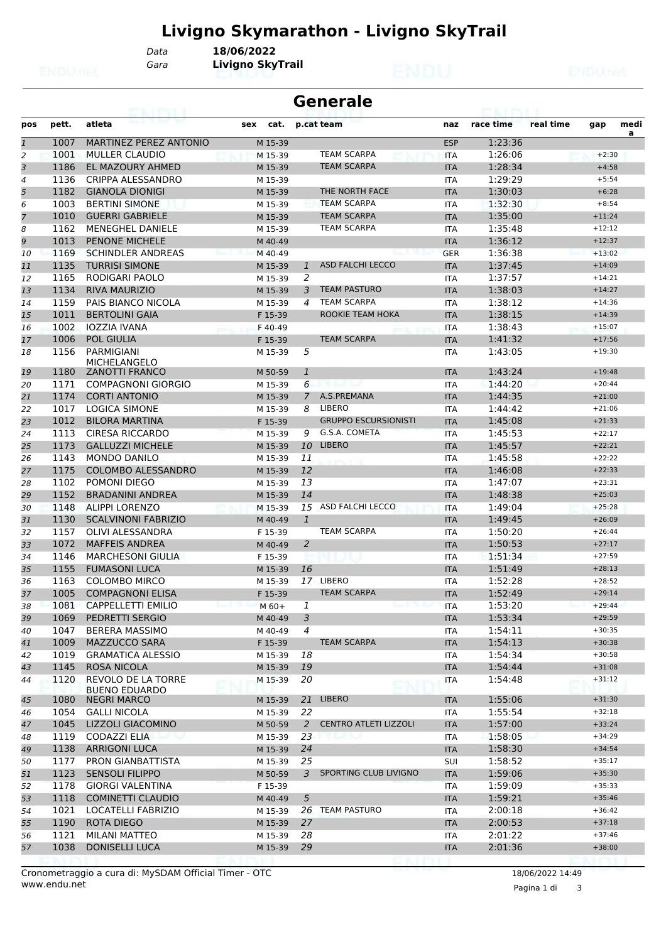# **Livigno Skymarathon - Livigno SkyTrail**

*Data* **18/06/2022**

*Gara* **Livigno SkyTrail**

| <b>Generale</b><br><b>CONTRACTOR</b> |       |                                                   |             |                |                              |            |           |           |          |           |
|--------------------------------------|-------|---------------------------------------------------|-------------|----------------|------------------------------|------------|-----------|-----------|----------|-----------|
| pos                                  | pett. | atleta                                            | sex<br>cat. |                | p.cat team                   | naz        | race time | real time | gap      | medi<br>a |
| $\mathbf{1}$                         | 1007  | <b>MARTINEZ PEREZ ANTONIO</b>                     | M 15-39     |                |                              | <b>ESP</b> | 1:23:36   |           |          |           |
| 2                                    | 1001  | <b>MULLER CLAUDIO</b>                             | M 15-39     |                | <b>TEAM SCARPA</b>           | <b>ITA</b> | 1:26:06   |           | $+2:30$  |           |
| 3                                    | 1186  | <b>EL MAZOURY AHMED</b>                           | M 15-39     |                | <b>TEAM SCARPA</b>           | <b>ITA</b> | 1:28:34   |           | $+4:58$  |           |
| 4                                    | 1136  | <b>CRIPPA ALESSANDRO</b>                          | M 15-39     |                |                              | <b>ITA</b> | 1:29:29   |           | $+5:54$  |           |
| 5                                    | 1182  | <b>GIANOLA DIONIGI</b>                            | M 15-39     |                | THE NORTH FACE               | <b>ITA</b> | 1:30:03   |           | $+6:28$  |           |
| 6                                    | 1003  | <b>BERTINI SIMONE</b>                             | M 15-39     |                | <b>TEAM SCARPA</b>           | <b>ITA</b> | 1:32:30   |           | $+8:54$  |           |
| $\overline{7}$                       | 1010  | <b>GUERRI GABRIELE</b>                            | M 15-39     |                | <b>TEAM SCARPA</b>           | <b>ITA</b> | 1:35:00   |           | $+11:24$ |           |
| 8                                    | 1162  | <b>MENEGHEL DANIELE</b>                           | M 15-39     |                | <b>TEAM SCARPA</b>           | <b>ITA</b> | 1:35:48   |           | $+12:12$ |           |
| 9                                    | 1013  | <b>PENONE MICHELE</b>                             | M 40-49     |                |                              | <b>ITA</b> | 1:36:12   |           | $+12:37$ |           |
| 10                                   | 1169  | <b>SCHINDLER ANDREAS</b>                          | M 40-49     |                |                              | <b>GER</b> | 1:36:38   |           | $+13:02$ |           |
| 11                                   | 1135  | <b>TURRISI SIMONE</b>                             | M 15-39     | 1              | <b>ASD FALCHI LECCO</b>      | <b>ITA</b> | 1:37:45   |           | $+14:09$ |           |
| 12                                   | 1165  | RODIGARI PAOLO                                    | M 15-39     | 2              |                              | <b>ITA</b> | 1:37:57   |           | $+14:21$ |           |
| 13                                   | 1134  | <b>RIVA MAURIZIO</b>                              | M 15-39     | 3              | <b>TEAM PASTURO</b>          | <b>ITA</b> | 1:38:03   |           | $+14:27$ |           |
| 14                                   | 1159  | PAIS BIANCO NICOLA                                | M 15-39     | 4              | <b>TEAM SCARPA</b>           | <b>ITA</b> | 1:38:12   |           | $+14:36$ |           |
| 15                                   | 1011  | <b>BERTOLINI GAIA</b>                             | F 15-39     |                | ROOKIE TEAM HOKA             | <b>ITA</b> | 1:38:15   |           | $+14:39$ |           |
| 16                                   | 1002  | <b>IOZZIA IVANA</b>                               | F 40-49     |                |                              | <b>ITA</b> | 1:38:43   |           | $+15:07$ |           |
| 17                                   | 1006  | <b>POL GIULIA</b>                                 | F 15-39     |                | <b>TEAM SCARPA</b>           | <b>ITA</b> | 1:41:32   |           | $+17:56$ |           |
| 18                                   | 1156  | <b>PARMIGIANI</b><br><b>MICHELANGELO</b>          | M 15-39     | 5              |                              | <b>ITA</b> | 1:43:05   |           | $+19:30$ |           |
| 19                                   | 1180  | <b>ZANOTTI FRANCO</b>                             | M 50-59     | $\mathbf{1}$   |                              | <b>ITA</b> | 1:43:24   |           | $+19:48$ |           |
| 20                                   | 1171  | <b>COMPAGNONI GIORGIO</b>                         | M 15-39     | 6              | ب بر                         | <b>ITA</b> | 1:44:20   |           | $+20:44$ |           |
| 21                                   | 1174  | <b>CORTI ANTONIO</b>                              | M 15-39     | 7              | A.S.PREMANA                  | <b>ITA</b> | 1:44:35   |           | $+21:00$ |           |
| 22                                   | 1017  | <b>LOGICA SIMONE</b>                              | M 15-39     | 8              | LIBERO                       | <b>ITA</b> | 1:44:42   |           | $+21:06$ |           |
| 23                                   | 1012  | <b>BILORA MARTINA</b>                             | F 15-39     |                | <b>GRUPPO ESCURSIONISTI</b>  | <b>ITA</b> | 1:45:08   |           | $+21:33$ |           |
| 24                                   | 1113  | CIRESA RICCARDO                                   | M 15-39     | 9              | G.S.A. COMETA                | <b>ITA</b> | 1:45:53   |           | $+22:17$ |           |
| 25                                   | 1173  | <b>GALLUZZI MICHELE</b>                           | M 15-39     | 10             | <b>LIBERO</b>                | <b>ITA</b> | 1:45:57   |           | $+22:21$ |           |
| 26                                   | 1143  | <b>MONDO DANILO</b>                               | M 15-39     | 11             |                              | <b>ITA</b> | 1:45:58   |           | $+22:22$ |           |
| 27                                   | 1175  | <b>COLOMBO ALESSANDRO</b>                         | M 15-39     | 12             |                              | <b>ITA</b> | 1:46:08   |           | $+22:33$ |           |
| 28                                   | 1102  | POMONI DIEGO                                      | M 15-39     | 13             |                              | <b>ITA</b> | 1:47:07   |           | $+23:31$ |           |
| 29                                   | 1152  | <b>BRADANINI ANDREA</b>                           | M 15-39     | 14             |                              | <b>ITA</b> | 1:48:38   |           | $+25:03$ |           |
| 30                                   | 1148  | <b>ALIPPI LORENZO</b>                             | M 15-39     | 15             | ASD FALCHI LECCO             | <b>ITA</b> | 1:49:04   |           | $+25:28$ |           |
| 31                                   | 1130  | <b>SCALVINONI FABRIZIO</b>                        | M 40-49     | $\mathbf{1}$   |                              | <b>ITA</b> | 1:49:45   |           | $+26:09$ |           |
| 32                                   | 1157  | OLIVI ALESSANDRA                                  | F 15-39     |                | <b>TEAM SCARPA</b>           | <b>ITA</b> | 1:50:20   |           | $+26:44$ |           |
| 33                                   | 1072  | <b>MAFFEIS ANDREA</b>                             | M 40-49     | 2              |                              | <b>ITA</b> | 1:50:53   |           | $+27:17$ |           |
| 34                                   | 1146  | <b>MARCHESONI GIULIA</b>                          | F 15-39     |                |                              | <b>ITA</b> | 1:51:34   |           | $+27:59$ |           |
| 35                                   | 1155  | <b>FUMASONI LUCA</b>                              | M 15-39     | 16             |                              | <b>ITA</b> | 1:51:49   |           | $+28:13$ |           |
| 36                                   | 1163  | <b>COLOMBO MIRCO</b>                              | M 15-39     | 17             | <b>LIBERO</b>                | <b>ITA</b> | 1:52:28   |           | $+28:52$ |           |
| 37                                   | 1005  | <b>COMPAGNONI ELISA</b>                           | F 15-39     |                | <b>TEAM SCARPA</b>           | <b>ITA</b> | 1:52:49   |           | $+29:14$ |           |
| 38                                   | 1081  | <b>CAPPELLETTI EMILIO</b>                         | $M_60+$     | 1              | ha († 1911)                  | ITA        | 1:53:20   |           | $+29:44$ |           |
| 39                                   | 1069  | PEDRETTI SERGIO                                   | M 40-49     | $\overline{3}$ |                              | <b>ITA</b> | 1:53:34   |           | $+29:59$ |           |
| 40                                   | 1047  | <b>BERERA MASSIMO</b>                             | M 40-49     | $\overline{4}$ |                              | ITA        | 1:54:11   |           | $+30:35$ |           |
| 41                                   | 1009  | <b>MAZZUCCO SARA</b>                              | F 15-39     |                | <b>TEAM SCARPA</b>           | <b>ITA</b> | 1:54:13   |           | $+30:38$ |           |
| 42                                   | 1019  | <b>GRAMATICA ALESSIO</b>                          | M 15-39     | 18             |                              | ITA        | 1:54:34   |           | $+30:58$ |           |
| 43                                   | 1145  | <b>ROSA NICOLA</b>                                | M 15-39     | 19             |                              | <b>ITA</b> | 1:54:44   |           | $+31:08$ |           |
| 44                                   | 1120  | <b>REVOLO DE LA TORRE</b><br><b>BUENO EDUARDO</b> | M 15-39     | 20             |                              | ITA        | 1:54:48   |           | $+31:12$ |           |
| 45                                   | 1080  | <b>NEGRI MARCO</b>                                | M 15-39     | 21             | <b>LIBERO</b>                | <b>ITA</b> | 1:55:06   |           | $+31:30$ |           |
| 46                                   | 1054  | <b>GALLI NICOLA</b>                               | M 15-39     | 22             |                              | ITA        | 1:55:54   |           | $+32:18$ |           |
| 47                                   | 1045  | LIZZOLI GIACOMINO                                 | M 50-59     | $\overline{2}$ | <b>CENTRO ATLETI LIZZOLI</b> | <b>ITA</b> | 1:57:00   |           | $+33:24$ |           |
| 48                                   | 1119  | <b>CODAZZI ELIA</b><br>ان 7 را                    | M 15-39     | 23             | ---                          | ITA        | 1:58:05   |           | $+34:29$ |           |
| 49                                   | 1138  | <b>ARRIGONI LUCA</b>                              | M 15-39     | 24             |                              | <b>ITA</b> | 1:58:30   |           | $+34:54$ |           |
| 50                                   | 1177  | PRON GIANBATTISTA                                 | M 15-39     | 25             |                              | SUI        | 1:58:52   |           | $+35:17$ |           |
| 51                                   | 1123  | <b>SENSOLI FILIPPO</b>                            | M 50-59     | 3              | SPORTING CLUB LIVIGNO        | <b>ITA</b> | 1:59:06   |           | $+35:30$ |           |
| 52                                   | 1178  | <b>GIORGI VALENTINA</b>                           | F 15-39     |                |                              | ITA        | 1:59:09   |           | $+35:33$ |           |
| 53                                   | 1118  | <b>COMINETTI CLAUDIO</b>                          | M 40-49     | $\sqrt{5}$     |                              | <b>ITA</b> | 1:59:21   |           | $+35:46$ |           |
| 54                                   | 1021  | LOCATELLI FABRIZIO                                | M 15-39     |                | 26 TEAM PASTURO              | ITA        | 2:00:18   |           | $+36:42$ |           |
| 55                                   | 1190  | ROTA DIEGO                                        | M 15-39     | 27             |                              | <b>ITA</b> | 2:00:53   |           | $+37:18$ |           |
| 56                                   | 1121  | MILANI MATTEO                                     | M 15-39     | 28             |                              | ITA        | 2:01:22   |           | $+37:46$ |           |
| 57                                   | 1038  | <b>DONISELLI LUCA</b>                             | M 15-39     | 29             |                              | <b>ITA</b> | 2:01:36   |           | $+38:00$ |           |
|                                      |       |                                                   |             |                |                              |            |           |           |          |           |

www.endu.net Cronometraggio a cura di: MySDAM Official Timer - OTC 18/06/2022 14:49

Pagina 1 di 3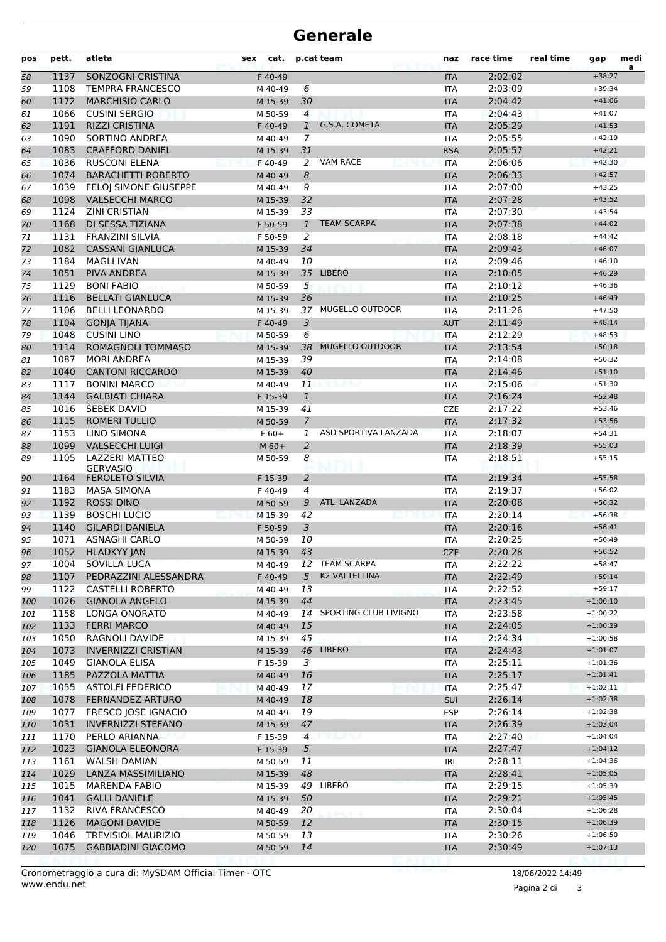| pos | pett. | atleta                                   | cat.<br>sex |                | p.cat team               | naz        | race time | real time | gap        | medi<br>a |
|-----|-------|------------------------------------------|-------------|----------------|--------------------------|------------|-----------|-----------|------------|-----------|
| 58  | 1137  | SONZOGNI CRISTINA                        | F 40-49     |                |                          | <b>ITA</b> | 2:02:02   |           | $+38:27$   |           |
| 59  | 1108  | <b>TEMPRA FRANCESCO</b>                  | M 40-49     | 6              |                          | <b>ITA</b> | 2:03:09   |           | $+39:34$   |           |
| 60  | 1172  | <b>MARCHISIO CARLO</b>                   | M 15-39     | 30             |                          | <b>ITA</b> | 2:04:42   |           | $+41:06$   |           |
| 61  | 1066  | <b>CUSINI SERGIO</b>                     | M 50-59     | $\overline{4}$ |                          | <b>ITA</b> | 2:04:43   |           | $+41:07$   |           |
| 62  | 1191  | <b>RIZZI CRISTINA</b>                    | F 40-49     | $\mathbf{1}$   | G.S.A. COMETA            | <b>ITA</b> | 2:05:29   |           | $+41:53$   |           |
| 63  | 1090  | SORTINO ANDREA                           | M 40-49     | 7              |                          | <b>ITA</b> | 2:05:55   |           | $+42:19$   |           |
| 64  | 1083  | <b>CRAFFORD DANIEL</b>                   | M 15-39     | 31             |                          | <b>RSA</b> | 2:05:57   |           | $+42:21$   |           |
| 65  | 1036  | <b>RUSCONI ELENA</b>                     | F 40-49     | 2              | <b>VAM RACE</b>          | <b>ITA</b> | 2:06:06   |           | $+42:30$   |           |
| 66  | 1074  | <b>BARACHETTI ROBERTO</b>                | M 40-49     | 8              |                          | <b>ITA</b> | 2:06:33   |           | $+42:57$   |           |
| 67  | 1039  | <b>FELOI SIMONE GIUSEPPE</b>             | M 40-49     | 9              |                          | <b>ITA</b> | 2:07:00   |           | $+43:25$   |           |
| 68  | 1098  | <b>VALSECCHI MARCO</b>                   | M 15-39     | 32             |                          | <b>ITA</b> | 2:07:28   |           | $+43:52$   |           |
| 69  | 1124  | <b>ZINI CRISTIAN</b>                     | M 15-39     | 33             |                          | <b>ITA</b> | 2:07:30   |           | $+43:54$   |           |
| 70  | 1168  | DI SESSA TIZIANA                         | F 50-59     | $\mathbf{1}$   | <b>TEAM SCARPA</b>       | <b>ITA</b> | 2:07:38   |           | $+44:02$   |           |
| 71  | 1131  | <b>FRANZINI SILVIA</b>                   | F 50-59     | 2              |                          | ITA        | 2:08:18   |           | $+44:42$   |           |
| 72  | 1082  | <b>CASSANI GIANLUCA</b>                  | M 15-39     | 34             |                          | <b>ITA</b> | 2:09:43   |           | $+46:07$   |           |
| 73  | 1184  | MAGLI IVAN                               | M 40-49     | 10             |                          | <b>ITA</b> | 2:09:46   |           | $+46:10$   |           |
| 74  | 1051  | PIVA ANDREA                              | M 15-39     | 35             | <b>LIBERO</b>            | <b>ITA</b> | 2:10:05   |           | $+46:29$   |           |
| 75  | 1129  | <b>BONI FABIO</b>                        | M 50-59     | 5              |                          | <b>ITA</b> | 2:10:12   |           | $+46:36$   |           |
| 76  | 1116  | <b>BELLATI GIANLUCA</b>                  | M 15-39     | 36             |                          | <b>ITA</b> | 2:10:25   |           | $+46:49$   |           |
| 77  | 1106  | <b>BELLI LEONARDO</b>                    | M 15-39     |                | 37 MUGELLO OUTDOOR       | <b>ITA</b> | 2:11:26   |           | $+47:50$   |           |
| 78  | 1104  | <b>GONJA TIJANA</b>                      | F 40-49     | 3              |                          | <b>AUT</b> | 2:11:49   |           | $+48:14$   |           |
| 79  | 1048  | <b>CUSINI LINO</b>                       | M 50-59     | 6              |                          | <b>ITA</b> | 2:12:29   |           | $+48:53$   |           |
| 80  | 1114  | <b>ROMAGNOLI TOMMASO</b>                 | M 15-39     | 38             | <b>MUGELLO OUTDOOR</b>   | <b>ITA</b> | 2:13:54   |           | $+50:18$   |           |
| 81  | 1087  | <b>MORI ANDREA</b>                       | M 15-39     | 39             |                          | <b>ITA</b> | 2:14:08   |           | $+50:32$   |           |
| 82  | 1040  | <b>CANTONI RICCARDO</b>                  | M 15-39     | 40             |                          | <b>ITA</b> | 2:14:46   |           | $+51:10$   |           |
| 83  | 1117  | <b>BONINI MARCO</b>                      | M 40-49     | 11             |                          | <b>ITA</b> | 2:15:06   |           | $+51:30$   |           |
| 84  | 1144  | <b>GALBIATI CHIARA</b>                   | F 15-39     | $\mathbf{1}$   |                          | <b>ITA</b> | 2:16:24   |           | $+52:48$   |           |
| 85  | 1016  | <b>SEBEK DAVID</b>                       | M 15-39     | 41             |                          | <b>CZE</b> | 2:17:22   |           | $+53:46$   |           |
| 86  | 1115  | <b>ROMERI TULLIO</b>                     | M 50-59     | $\overline{7}$ |                          | <b>ITA</b> | 2:17:32   |           | $+53:56$   |           |
| 87  | 1153  | <b>LINO SIMONA</b>                       | $F60+$      | 1              | ASD SPORTIVA LANZADA     | <b>ITA</b> | 2:18:07   |           | $+54:31$   |           |
| 88  | 1099  | <b>VALSECCHI LUIGI</b>                   | $M$ 60+     | $\overline{a}$ |                          | <b>ITA</b> | 2:18:39   |           | $+55:03$   |           |
| 89  | 1105  | <b>LAZZERI MATTEO</b><br><b>GERVASIO</b> | M 50-59     | 8              |                          | ITA        | 2:18:51   |           | $+55:15$   |           |
| 90  | 1164  | <b>FEROLETO SILVIA</b>                   | F 15-39     | $\overline{2}$ |                          | <b>ITA</b> | 2:19:34   |           | $+55:58$   |           |
| 91  | 1183  | <b>MASA SIMONA</b>                       | F 40-49     | 4              |                          | <b>ITA</b> | 2:19:37   |           | $+56:02$   |           |
| 92  | 1192  | <b>ROSSI DINO</b>                        | M 50-59     | 9              | ATL. LANZADA             | <b>ITA</b> | 2:20:08   |           | $+56:32$   |           |
| 93  | 1139  | <b>BOSCHI LUCIO</b>                      | M 15-39     | 42             |                          | <b>ITA</b> | 2:20:14   |           | $+56:38$   |           |
| 94  | 1140  | <b>GILARDI DANIELA</b>                   | F 50-59     | 3              |                          | <b>ITA</b> | 2:20:16   |           | $+56:41$   |           |
| 95  | 1071  | ASNAGHI CARLO                            | M 50-59     | 10             |                          | <b>ITA</b> | 2:20:25   |           | $+56:49$   |           |
| 96  |       | 1052 HLADKYY JAN                         | M 15-39     | 43             |                          | CZE        | 2:20:28   |           | $+56:52$   |           |
| 97  | 1004  | <b>SOVILLA LUCA</b>                      | M 40-49     |                | 12 TEAM SCARPA           | ITA        | 2:22:22   |           | $+58:47$   |           |
| 98  | 1107  | PEDRAZZINI ALESSANDRA                    | F40-49      | 5              | K2 VALTELLINA            | <b>ITA</b> | 2:22:49   |           | $+59:14$   |           |
| 99  | 1122  | <b>CASTELLI ROBERTO</b>                  | M 40-49     | 13             |                          | ITA        | 2:22:52   |           | $+59:17$   |           |
| 100 | 1026  | <b>GIANOLA ANGELO</b>                    | M 15-39     | 44             |                          | <b>ITA</b> | 2:23:45   |           | $+1:00:10$ |           |
| 101 | 1158  | LONGA ONORATO                            | M 40-49     |                | 14 SPORTING CLUB LIVIGNO | ITA        | 2:23:58   |           | $+1:00:22$ |           |
| 102 | 1133  | <b>FERRI MARCO</b>                       | M 40-49     | 15             |                          | <b>ITA</b> | 2:24:05   |           | $+1:00:29$ |           |
| 103 | 1050  | RAGNOLI DAVIDE                           | M 15-39     | 45             |                          | <b>ITA</b> | 2:24:34   |           | $+1:00:58$ |           |
| 104 | 1073  | <b>INVERNIZZI CRISTIAN</b>               | M 15-39     | 46             | <b>LIBERO</b>            | <b>ITA</b> | 2:24:43   |           | $+1:01:07$ |           |
| 105 | 1049  | <b>GIANOLA ELISA</b>                     | F 15-39     | 3              |                          | ITA        | 2:25:11   |           | $+1:01:36$ |           |
| 106 | 1185  | PAZZOLA MATTIA                           | M 40-49     | 16             |                          | <b>ITA</b> | 2:25:17   |           | $+1:01:41$ |           |
| 107 | 1055  | <b>ASTOLFI FEDERICO</b>                  | M 40-49     | 17             |                          | ITA        | 2:25:47   |           | $+1:02:11$ |           |
| 108 | 1078  | FERNANDEZ ARTURO                         | M 40-49     | 18             |                          | SUI        | 2:26:14   |           | $+1:02:38$ |           |
| 109 | 1077  | FRESCO JOSE IGNACIO                      | M 40-49     | 19             |                          | <b>ESP</b> | 2:26:14   |           | $+1:02:38$ |           |
| 110 | 1031  | <b>INVERNIZZI STEFANO</b>                | M 15-39     | 47             |                          | <b>ITA</b> | 2:26:39   |           | $+1:03:04$ |           |
| 111 | 1170  | PERLO ARIANNA                            | F 15-39     | $\overline{4}$ |                          | ITA        | 2:27:40   |           | $+1:04:04$ |           |
| 112 | 1023  | <b>GIANOLA ELEONORA</b>                  | F 15-39     | 5              |                          | <b>ITA</b> | 2:27:47   |           | $+1:04:12$ |           |
| 113 | 1161  | <b>WALSH DAMIAN</b>                      | M 50-59     | 11             |                          | IRL        | 2:28:11   |           | $+1:04:36$ |           |
| 114 | 1029  | LANZA MASSIMILIANO                       | M 15-39     | 48             |                          | <b>ITA</b> | 2:28:41   |           | $+1:05:05$ |           |
| 115 | 1015  | <b>MARENDA FABIO</b>                     | M 15-39     |                | 49 LIBERO                | <b>ITA</b> | 2:29:15   |           | $+1:05:39$ |           |
| 116 | 1041  | <b>GALLI DANIELE</b>                     | M 15-39     | 50             |                          | <b>ITA</b> | 2:29:21   |           | $+1:05:45$ |           |
| 117 | 1132  | RIVA FRANCESCO                           | M 40-49     | 20             |                          | ITA        | 2:30:04   |           | $+1:06:28$ |           |
| 118 | 1126  | <b>MAGONI DAVIDE</b>                     | M 50-59     | 12             |                          | <b>ITA</b> | 2:30:15   |           | $+1:06:39$ |           |
| 119 | 1046  | <b>TREVISIOL MAURIZIO</b>                | M 50-59     | 13             |                          | ITA        | 2:30:26   |           | $+1:06:50$ |           |
| 120 | 1075  | <b>GABBIADINI GIACOMO</b>                | M 50-59     | 14             |                          | <b>ITA</b> | 2:30:49   |           | $+1:07:13$ |           |
|     |       |                                          |             |                |                          |            |           |           |            |           |

Pagina 2 di 3